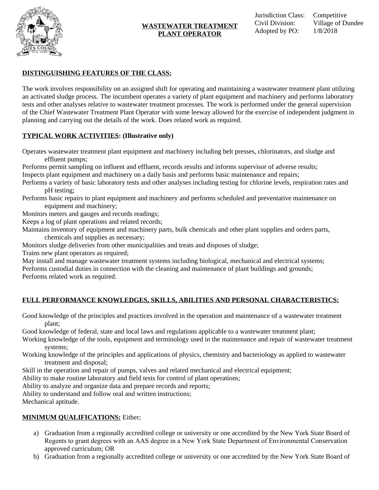

# **DISTINGUISHING FEATURES OF THE CLASS:**

The work involves responsibility on an assigned shift for operating and maintaining a wastewater treatment plant utilizing an activated sludge process. The incumbent operates a variety of plant equipment and machinery and performs laboratory tests and other analyses relative to wastewater treatment processes. The work is performed under the general supervision of the Chief Wastewater Treatment Plant Operator with some leeway allowed for the exercise of independent judgment in planning and carrying out the details of the work. Does related work as required.

## **TYPICAL WORK ACTIVITIES: (Illustrative only)**

Operates wastewater treatment plant equipment and machinery including belt presses, chlorinators, and sludge and effluent pumps;

Performs permit sampling on influent and effluent, records results and informs supervisor of adverse results; Inspects plant equipment and machinery on a daily basis and performs basic maintenance and repairs;

Performs a variety of basic laboratory tests and other analyses including testing for chlorine levels, respiration rates and pH testing;

Performs basic repairs to plant equipment and machinery and performs scheduled and preventative maintenance on equipment and machinery;

Monitors meters and gauges and records readings;

Keeps a log of plant operations and related records;

Maintains inventory of equipment and machinery parts, bulk chemicals and other plant supplies and orders parts, chemicals and supplies as necessary;

Monitors sludge deliveries from other municipalities and treats and disposes of sludge;

Trains new plant operators as required;

May install and manage wastewater treatment systems including biological, mechanical and electrical systems; Performs custodial duties in connection with the cleaning and maintenance of plant buildings and grounds; Performs related work as required.

# **FULL PERFORMANCE KNOWLEDGES, SKILLS, ABILITIES AND PERSONAL CHARACTERISTICS:**

Good knowledge of the principles and practices involved in the operation and maintenance of a wastewater treatment plant;

Good knowledge of federal, state and local laws and regulations applicable to a wastewater treatment plant;

Working knowledge of the tools, equipment and terminology used in the maintenance and repair of wastewater treatment systems;

Working knowledge of the principles and applications of physics, chemistry and bacteriology as applied to wastewater treatment and disposal;

Skill in the operation and repair of pumps, valves and related mechanical and electrical equipment;

Ability to make routine laboratory and field tests for control of plant operations;

Ability to analyze and organize data and prepare records and reports;

Ability to understand and follow oral and written instructions;

Mechanical aptitude.

## **MINIMUM QUALIFICATIONS:** Either;

- a) Graduation from a regionally accredited college or university or one accredited by the New York State Board of Regents to grant degrees with an AAS degree in a New York State Department of Environmental Conservation approved curriculum; OR
- b) Graduation from a regionally accredited college or university or one accredited by the New York State Board of